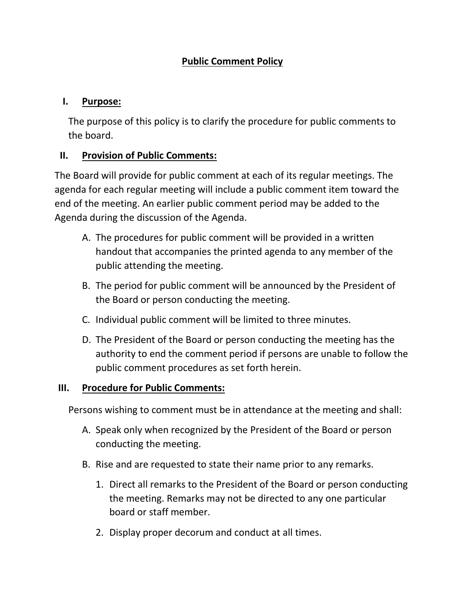# **Public Comment Policy**

## **I. Purpose:**

The purpose of this policy is to clarify the procedure for public comments to the board.

## **II. Provision of Public Comments:**

The Board will provide for public comment at each of its regular meetings. The agenda for each regular meeting will include a public comment item toward the end of the meeting. An earlier public comment period may be added to the Agenda during the discussion of the Agenda.

- A. The procedures for public comment will be provided in a written handout that accompanies the printed agenda to any member of the public attending the meeting.
- B. The period for public comment will be announced by the President of the Board or person conducting the meeting.
- C. Individual public comment will be limited to three minutes.
- D. The President of the Board or person conducting the meeting has the authority to end the comment period if persons are unable to follow the public comment procedures as set forth herein.

### **III. Procedure for Public Comments:**

Persons wishing to comment must be in attendance at the meeting and shall:

- A. Speak only when recognized by the President of the Board or person conducting the meeting.
- B. Rise and are requested to state their name prior to any remarks.
	- 1. Direct all remarks to the President of the Board or person conducting the meeting. Remarks may not be directed to any one particular board or staff member.
	- 2. Display proper decorum and conduct at all times.